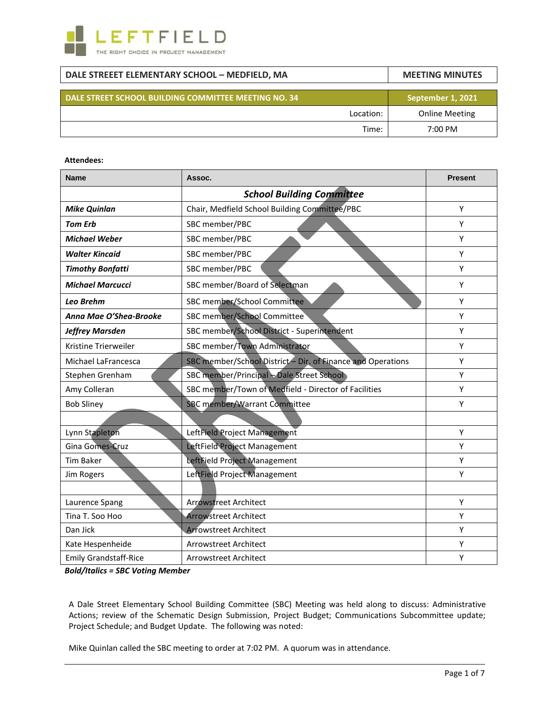

# **DALE STREEET ELEMENTARY SCHOOL – MEDFIELD, MA MEETING MINUTES DALE STREET SCHOOL BUILDING COMMITTEE MEETING NO. 34 September 1, 2021** Location: Online Meeting Time: 7:00 PM

#### **Attendees:**

| <b>Name</b>                  | Assoc.                                                      | <b>Present</b> |
|------------------------------|-------------------------------------------------------------|----------------|
|                              | <b>School Building Committee</b>                            |                |
| <b>Mike Quinlan</b>          | Chair, Medfield School Building Committee/PBC               | Y              |
| <b>Tom Erb</b>               | SBC member/PBC                                              | Y              |
| <b>Michael Weber</b>         | SBC member/PBC                                              | Υ              |
| <b>Walter Kincaid</b>        | SBC member/PBC                                              | Y              |
| <b>Timothy Bonfatti</b>      | SBC member/PBC                                              | Υ              |
| <b>Michael Marcucci</b>      | SBC member/Board of Selectman                               | Y              |
| Leo Brehm                    | SBC member/School Committee                                 | Y              |
| Anna Mae O'Shea-Brooke       | SBC member/School Committee                                 | Υ              |
| <b>Jeffrey Marsden</b>       | SBC member/School District - Superintendent                 | Υ              |
| Kristine Trierweiler         | SBC member/Town Administrator                               | Υ              |
| Michael LaFrancesca          | SBC member/School District - Dir. of Finance and Operations | Y              |
| Stephen Grenham              | SBC member/Principal - Dale Street School                   | Υ              |
| Amy Colleran                 | SBC member/Town of Medfield - Director of Facilities        | Υ              |
| <b>Bob Sliney</b>            | SBC member/Warrant Committee                                | Υ              |
|                              |                                                             |                |
| Lynn Stapleton               | LeftField Project Management                                | Υ              |
| Gina Gomes-Cruz              | LeftField Project Management                                | Υ              |
| <b>Tim Baker</b>             | LeftField Project Management                                | Y              |
| Jim Rogers                   | LeftField Project Management                                | Υ              |
|                              |                                                             |                |
| Laurence Spang               | <b>Arrowstreet Architect</b>                                | Υ              |
| Tina T. Soo Hoo              | <b>Arrowstreet Architect</b>                                | Υ              |
| Dan Jick                     | <b>Arrowstreet Architect</b>                                | Υ              |
| Kate Hespenheide             | <b>Arrowstreet Architect</b>                                | Υ              |
| <b>Emily Grandstaff-Rice</b> | Arrowstreet Architect                                       | Υ              |

*Bold/Italics = SBC Voting Member*

A Dale Street Elementary School Building Committee (SBC) Meeting was held along to discuss: Administrative Actions; review of the Schematic Design Submission, Project Budget; Communications Subcommittee update; Project Schedule; and Budget Update. The following was noted:

Mike Quinlan called the SBC meeting to order at 7:02 PM. A quorum was in attendance.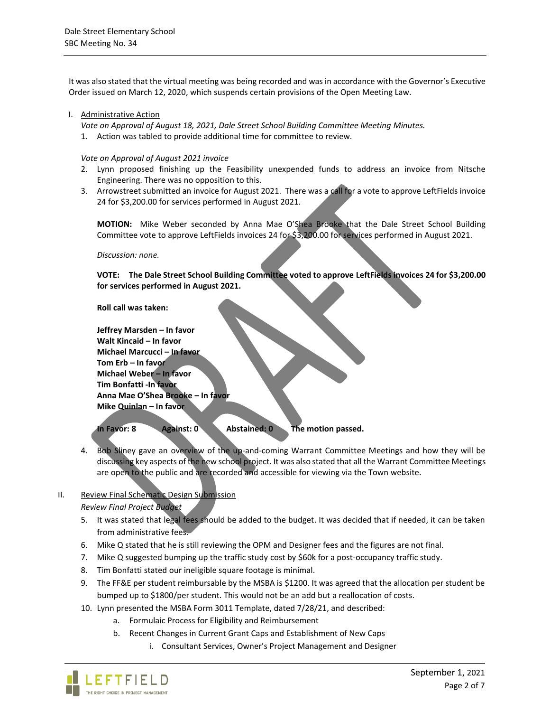It was also stated that the virtual meeting was being recorded and was in accordance with the Governor's Executive Order issued on March 12, 2020, which suspends certain provisions of the Open Meeting Law.

#### I. Administrative Action

*Vote on Approval of August 18, 2021, Dale Street School Building Committee Meeting Minutes.*

1. Action was tabled to provide additional time for committee to review.

*Vote on Approval of August 2021 invoice*

- 2. Lynn proposed finishing up the Feasibility unexpended funds to address an invoice from Nitsche Engineering. There was no opposition to this.
- 3. Arrowstreet submitted an invoice for August 2021. There was a call for a vote to approve LeftFields invoice 24 for \$3,200.00 for services performed in August 2021.

**MOTION:** Mike Weber seconded by Anna Mae O'Shea Brooke that the Dale Street School Building Committee vote to approve LeftFields invoices 24 for \$3,200.00 for services performed in August 2021.

*Discussion: none.*

**VOTE: The Dale Street School Building Committee voted to approve LeftFields invoices 24 for \$3,200.00 for services performed in August 2021.**

**Roll call was taken:**

**Jeffrey Marsden – In favor Walt Kincaid – In favor Michael Marcucci – In favor Tom Erb – In favor Michael Weber – In favor Tim Bonfatti -In favor Anna Mae O'Shea Brooke – In favor Mike Quinlan – In favor**

**In Favor: 8 Against: 0 Abstained: 0 The motion passed.**

4. Bob Sliney gave an overview of the up-and-coming Warrant Committee Meetings and how they will be discussing key aspects of the new school project. It was also stated that all the Warrant Committee Meetings are open to the public and are recorded and accessible for viewing via the Town website.

# II. Review Final Schematic Design Submission

*Review Final Project Budget*

- 5. It was stated that legal fees should be added to the budget. It was decided that if needed, it can be taken from administrative fees.
- 6. Mike Q stated that he is still reviewing the OPM and Designer fees and the figures are not final.
- 7. Mike Q suggested bumping up the traffic study cost by \$60k for a post-occupancy traffic study.
- 8. Tim Bonfatti stated our ineligible square footage is minimal.
- 9. The FF&E per student reimbursable by the MSBA is \$1200. It was agreed that the allocation per student be bumped up to \$1800/per student. This would not be an add but a reallocation of costs.
- 10. Lynn presented the MSBA Form 3011 Template, dated 7/28/21, and described:
	- a. Formulaic Process for Eligibility and Reimbursement
	- b. Recent Changes in Current Grant Caps and Establishment of New Caps
		- i. Consultant Services, Owner's Project Management and Designer

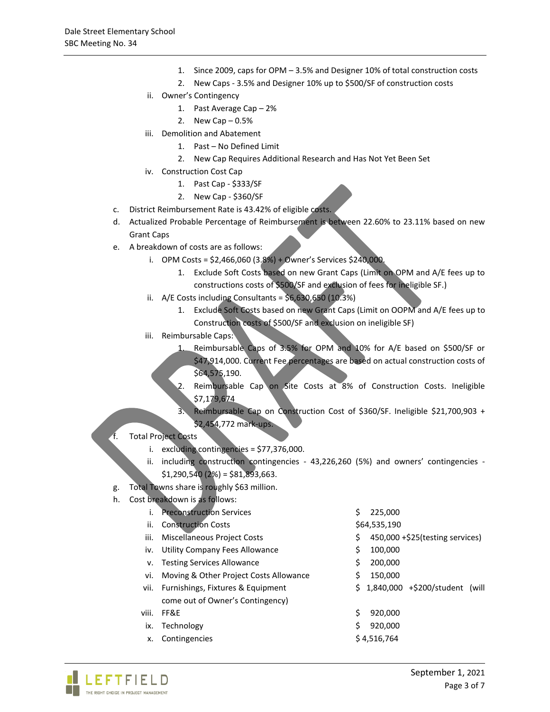- 1. Since 2009, caps for OPM 3.5% and Designer 10% of total construction costs
- 2. New Caps 3.5% and Designer 10% up to \$500/SF of construction costs
- ii. Owner's Contingency
	- 1. Past Average Cap 2%
	- 2. New Cap  $-0.5%$
- iii. Demolition and Abatement
	- 1. Past No Defined Limit
	- 2. New Cap Requires Additional Research and Has Not Yet Been Set
- iv. Construction Cost Cap
	- 1. Past Cap \$333/SF
	- 2. New Cap \$360/SF
- c. District Reimbursement Rate is 43.42% of eligible costs.
- d. Actualized Probable Percentage of Reimbursement is between 22.60% to 23.11% based on new Grant Caps
- e. A breakdown of costs are as follows:
	- i. OPM Costs = \$2,466,060 (3.8%) + Owner's Services \$240,000.
		- 1. Exclude Soft Costs based on new Grant Caps (Limit on OPM and A/E fees up to constructions costs of \$500/SF and exclusion of fees for ineligible SF.)
	- ii.  $A/E$  Costs including Consultants =  $$6,630,650$  (10.3%)
		- 1. Exclude Soft Costs based on new Grant Caps (Limit on OOPM and A/E fees up to Construction costs of \$500/SF and exclusion on ineligible SF)
	- iii. Reimbursable Caps:
		- 1. Reimbursable Caps of 3.5% for OPM and 10% for A/E based on \$500/SF or \$47,914,000. Current Fee percentages are based on actual construction costs of \$64,575,190.
		- 2. Reimbursable Cap on Site Costs at 8% of Construction Costs. Ineligible \$7,179,674
		- 3. Reimbursable Cap on Construction Cost of \$360/SF. Ineligible \$21,700,903 + \$2,454,772 mark-ups.
- f. Total Project Costs
	- i. excluding contingencies = \$77,376,000.
	- ii. including construction contingencies 43,226,260 (5%) and owners' contingencies  $$1,290,540$  (2%) =  $$81,893,663$ .
- g. Total Towns share is roughly \$63 million.
- h. Cost breakdown is as follows:

| i.    | <b>Preconstruction Services</b>        | 225,000<br>S                          |
|-------|----------------------------------------|---------------------------------------|
| ii.   | <b>Construction Costs</b>              | \$64,535,190                          |
| iii.  | Miscellaneous Project Costs            | 450,000 +\$25(testing services)<br>\$ |
| iv.   | Utility Company Fees Allowance         | 100,000<br>\$                         |
| v.    | <b>Testing Services Allowance</b>      | \$<br>200,000                         |
| vi.   | Moving & Other Project Costs Allowance | 150,000<br>\$                         |
|       | vii. Furnishings, Fixtures & Equipment | 1,840,000 +\$200/student (will<br>S.  |
|       | come out of Owner's Contingency        |                                       |
| viii. | FF&E                                   | Ś<br>920,000                          |
| ix.   | Technology                             | Ś<br>920.000                          |
| х.    | Contingencies                          | \$4,516,764                           |
|       |                                        |                                       |

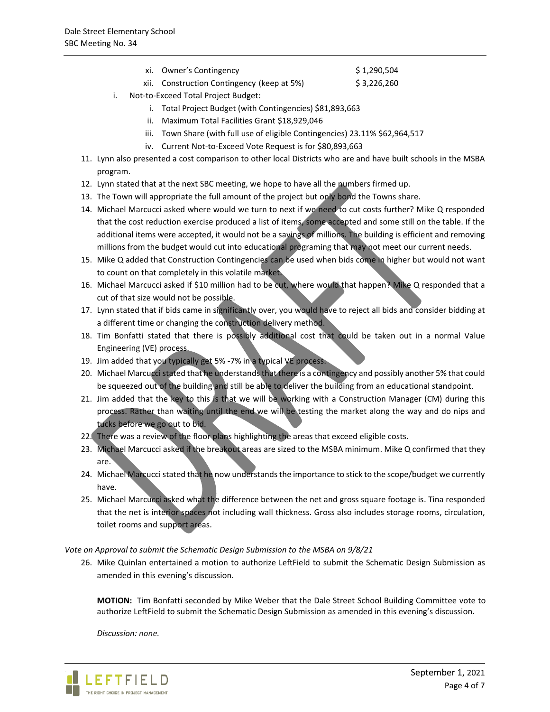xi. Owner's Contingency  $\frac{1}{2}$  1,290,504

xii. Construction Contingency (keep at 5%) \$ 3,226,260

- i. Not-to-Exceed Total Project Budget:
	- i. Total Project Budget (with Contingencies) \$81,893,663
	- ii. Maximum Total Facilities Grant \$18,929,046
	- iii. Town Share (with full use of eligible Contingencies) 23.11% \$62,964,517
	- iv. Current Not-to-Exceed Vote Request is for \$80,893,663
- 11. Lynn also presented a cost comparison to other local Districts who are and have built schools in the MSBA program.
- 12. Lynn stated that at the next SBC meeting, we hope to have all the numbers firmed up.
- 13. The Town will appropriate the full amount of the project but only bond the Towns share.
- 14. Michael Marcucci asked where would we turn to next if we need to cut costs further? Mike Q responded that the cost reduction exercise produced a list of items, some accepted and some still on the table. If the additional items were accepted, it would not be a savings of millions. The building is efficient and removing millions from the budget would cut into educational programing that may not meet our current needs.
- 15. Mike Q added that Construction Contingencies can be used when bids come in higher but would not want to count on that completely in this volatile market.
- 16. Michael Marcucci asked if \$10 million had to be cut, where would that happen? Mike Q responded that a cut of that size would not be possible.
- 17. Lynn stated that if bids came in significantly over, you would have to reject all bids and consider bidding at a different time or changing the construction delivery method.
- 18. Tim Bonfatti stated that there is possibly additional cost that could be taken out in a normal Value Engineering (VE) process.
- 19. Jim added that you typically get 5% -7% in a typical VE process.
- 20. Michael Marcucci stated that he understands that there is a contingency and possibly another 5% that could be squeezed out of the building and still be able to deliver the building from an educational standpoint.
- 21. Jim added that the key to this is that we will be working with a Construction Manager (CM) during this process. Rather than waiting until the end we will be testing the market along the way and do nips and tucks before we go out to bid.
- 22. There was a review of the floor plans highlighting the areas that exceed eligible costs.
- 23. Michael Marcucci asked if the breakout areas are sized to the MSBA minimum. Mike Q confirmed that they are.
- 24. Michael Marcucci stated that he now understands the importance to stick to the scope/budget we currently have.
- 25. Michael Marcucci asked what the difference between the net and gross square footage is. Tina responded that the net is interior spaces not including wall thickness. Gross also includes storage rooms, circulation, toilet rooms and support areas.

*Vote on Approval to submit the Schematic Design Submission to the MSBA on 9/8/21*

26. Mike Quinlan entertained a motion to authorize LeftField to submit the Schematic Design Submission as amended in this evening's discussion.

**MOTION:** Tim Bonfatti seconded by Mike Weber that the Dale Street School Building Committee vote to authorize LeftField to submit the Schematic Design Submission as amended in this evening's discussion.

*Discussion: none.*

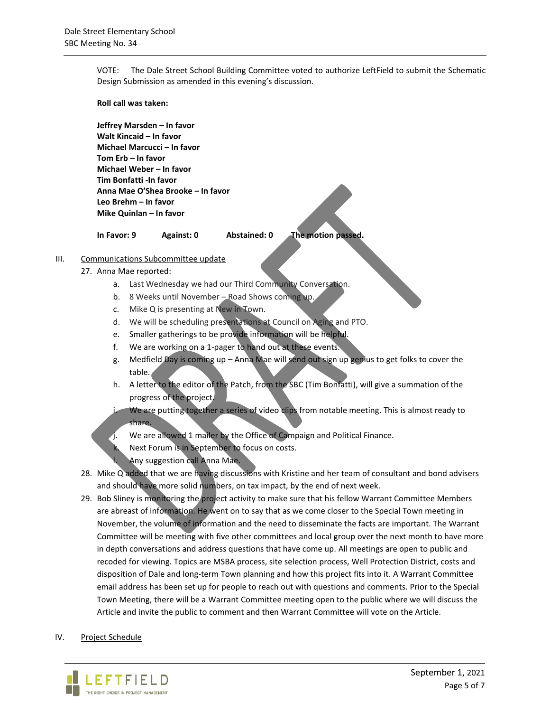VOTE: The Dale Street School Building Committee voted to authorize LeftField to submit the Schematic Design Submission as amended in this evening's discussion.

**Roll call was taken:**

**Jeffrey Marsden – In favor Walt Kincaid – In favor Michael Marcucci – In favor Tom Erb – In favor Michael Weber – In favor Tim Bonfatti -In favor Anna Mae O'Shea Brooke – In favor Leo Brehm – In favor Mike Quinlan – In favor**

**In Favor: 9 Against: 0 Abstained: 0 The motion passed.**

- III. Communications Subcommittee update
	- 27. Anna Mae reported:
		- a. Last Wednesday we had our Third Community Conversation.
		- b. 8 Weeks until November Road Shows coming up.
		- c. Mike Q is presenting at New in Town.
		- d. We will be scheduling presentations at Council on Aging and PTO.
		- e. Smaller gatherings to be provide information will be helpful.
		- f. We are working on a 1-pager to hand out at these events.
		- g. Medfield Day is coming up Anna Mae will send out sign up genius to get folks to cover the table.
		- h. A letter to the editor of the Patch, from the SBC (Tim Bonfatti), will give a summation of the progress of the project.
		- We are putting together a series of video clips from notable meeting. This is almost ready to share.
			- We are allowed 1 mailer by the Office of Campaign and Political Finance.
			- Next Forum is in September to focus on costs.
			- Any suggestion call Anna Mae.
	- 28. Mike Q added that we are having discussions with Kristine and her team of consultant and bond advisers and should have more solid numbers, on tax impact, by the end of next week.
	- 29. Bob Sliney is monitoring the project activity to make sure that his fellow Warrant Committee Members are abreast of information. He went on to say that as we come closer to the Special Town meeting in November, the volume of information and the need to disseminate the facts are important. The Warrant Committee will be meeting with five other committees and local group over the next month to have more in depth conversations and address questions that have come up. All meetings are open to public and recoded for viewing. Topics are MSBA process, site selection process, Well Protection District, costs and disposition of Dale and long-term Town planning and how this project fits into it. A Warrant Committee email address has been set up for people to reach out with questions and comments. Prior to the Special Town Meeting, there will be a Warrant Committee meeting open to the public where we will discuss the Article and invite the public to comment and then Warrant Committee will vote on the Article.
- IV. Project Schedule

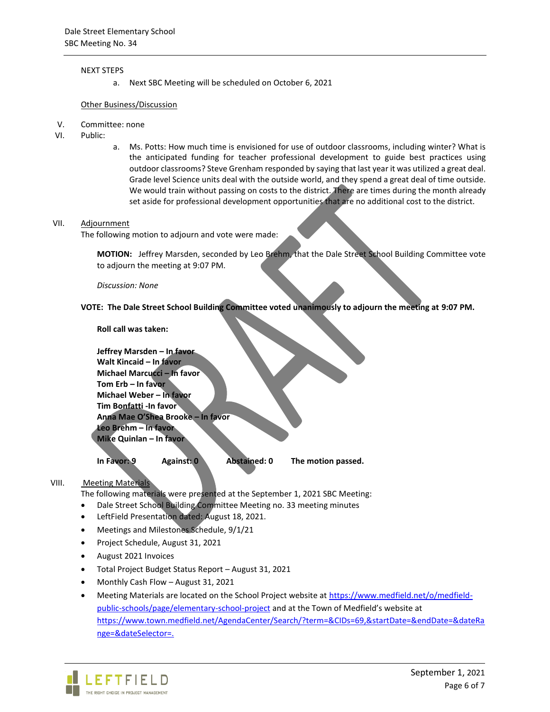#### NEXT STEPS

a. Next SBC Meeting will be scheduled on October 6, 2021

#### Other Business/Discussion

- V. Committee: none
- VI. Public:
- a. Ms. Potts: How much time is envisioned for use of outdoor classrooms, including winter? What is the anticipated funding for teacher professional development to guide best practices using outdoor classrooms? Steve Grenham responded by saying that last year it was utilized a great deal. Grade level Science units deal with the outside world, and they spend a great deal of time outside. We would train without passing on costs to the district. There are times during the month already set aside for professional development opportunities that are no additional cost to the district.

#### VII. Adjournment

The following motion to adjourn and vote were made:

**MOTION:** Jeffrey Marsden, seconded by Leo Brehm, that the Dale Street School Building Committee vote to adjourn the meeting at 9:07 PM.

*Discussion: None*

## **VOTE: The Dale Street School Building Committee voted unanimously to adjourn the meeting at 9:07 PM.**

**Roll call was taken:**

| Jeffrey Marsden - In favor<br>Walt Kincaid - In favor |                                   |              |                    |
|-------------------------------------------------------|-----------------------------------|--------------|--------------------|
| Michael Marcucci - In favor                           |                                   |              |                    |
| Tom Erb - In favor                                    |                                   |              |                    |
| Michael Weber - In favor                              |                                   |              |                    |
| Tim Bonfatti -In favor                                |                                   |              |                    |
|                                                       | Anna Mae O'Shea Brooke - In favor |              |                    |
| Leo Brehm - In favor                                  |                                   |              |                    |
| Mike Quinlan - In favor                               |                                   |              |                    |
|                                                       |                                   |              |                    |
| In Favor: 9                                           | Against: 0                        | Abstained: 0 | The motion passed. |

### VIII. Meeting Materials

The following materials were presented at the September 1, 2021 SBC Meeting:

- Dale Street School Building Committee Meeting no. 33 meeting minutes
- LeftField Presentation dated: August 18, 2021.
- Meetings and Milestones Schedule, 9/1/21
- Project Schedule, August 31, 2021
- August 2021 Invoices
- Total Project Budget Status Report August 31, 2021
- Monthly Cash Flow August 31, 2021
- Meeting Materials are located on the School Project website a[t https://www.medfield.net/o/medfield](https://www.medfield.net/o/medfield-public-schools/page/elementary-school-project)[public-schools/page/elementary-school-project](https://www.medfield.net/o/medfield-public-schools/page/elementary-school-project) and at the Town of Medfield's website at [https://www.town.medfield.net/AgendaCenter/Search/?term=&CIDs=69,&startDate=&endDate=&dateRa](https://www.town.medfield.net/AgendaCenter/Search/?term=&CIDs=69,&startDate=&endDate=&dateRange=&dateSelector=) [nge=&dateSelector=.](https://www.town.medfield.net/AgendaCenter/Search/?term=&CIDs=69,&startDate=&endDate=&dateRange=&dateSelector=)